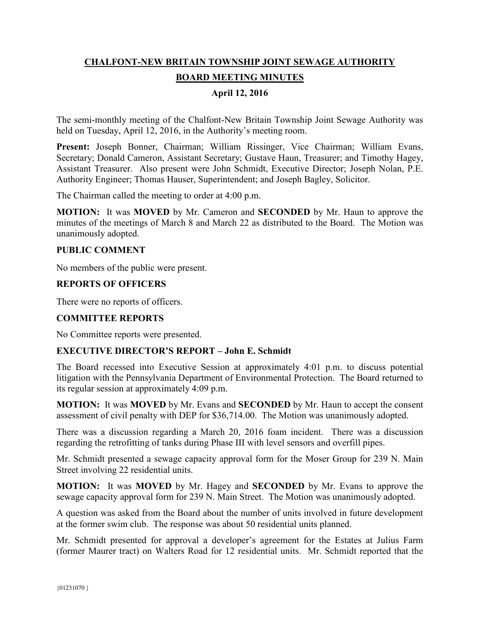# **CHALFONT-NEW BRITAIN TOWNSHIP JOINT SEWAGE AUTHORITY BOARD MEETING MINUTES**

## **April 12, 2016**

The semi-monthly meeting of the Chalfont-New Britain Township Joint Sewage Authority was held on Tuesday, April 12, 2016, in the Authority's meeting room.

**Present:** Joseph Bonner, Chairman; William Rissinger, Vice Chairman; William Evans, Secretary; Donald Cameron, Assistant Secretary; Gustave Haun, Treasurer; and Timothy Hagey, Assistant Treasurer. Also present were John Schmidt, Executive Director; Joseph Nolan, P.E. Authority Engineer; Thomas Hauser, Superintendent; and Joseph Bagley, Solicitor.

The Chairman called the meeting to order at 4:00 p.m.

**MOTION:** It was **MOVED** by Mr. Cameron and **SECONDED** by Mr. Haun to approve the minutes of the meetings of March 8 and March 22 as distributed to the Board. The Motion was unanimously adopted.

#### **PUBLIC COMMENT**

No members of the public were present.

#### **REPORTS OF OFFICERS**

There were no reports of officers.

#### **COMMITTEE REPORTS**

No Committee reports were presented.

#### **EXECUTIVE DIRECTOR'S REPORT – John E. Schmidt**

The Board recessed into Executive Session at approximately 4:01 p.m. to discuss potential litigation with the Pennsylvania Department of Environmental Protection. The Board returned to its regular session at approximately 4:09 p.m.

**MOTION:** It was **MOVED** by Mr. Evans and **SECONDED** by Mr. Haun to accept the consent assessment of civil penalty with DEP for \$36,714.00. The Motion was unanimously adopted.

There was a discussion regarding a March 20, 2016 foam incident. There was a discussion regarding the retrofitting of tanks during Phase III with level sensors and overfill pipes.

Mr. Schmidt presented a sewage capacity approval form for the Moser Group for 239 N. Main Street involving 22 residential units.

**MOTION:** It was **MOVED** by Mr. Hagey and **SECONDED** by Mr. Evans to approve the sewage capacity approval form for 239 N. Main Street. The Motion was unanimously adopted.

A question was asked from the Board about the number of units involved in future development at the former swim club. The response was about 50 residential units planned.

Mr. Schmidt presented for approval a developer's agreement for the Estates at Julius Farm (former Maurer tract) on Walters Road for 12 residential units. Mr. Schmidt reported that the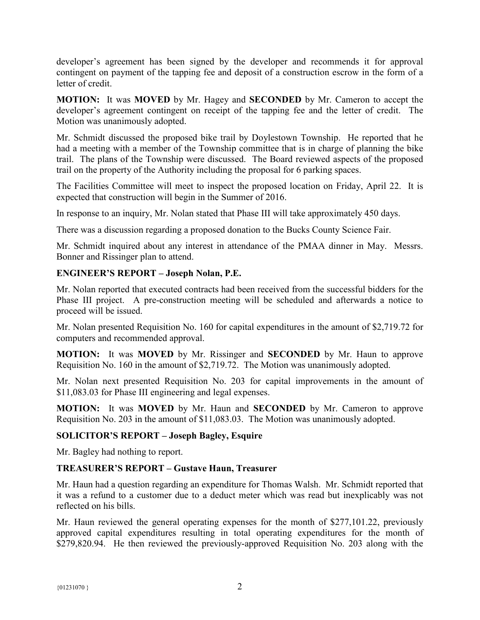developer's agreement has been signed by the developer and recommends it for approval contingent on payment of the tapping fee and deposit of a construction escrow in the form of a letter of credit.

**MOTION:** It was **MOVED** by Mr. Hagey and **SECONDED** by Mr. Cameron to accept the developer's agreement contingent on receipt of the tapping fee and the letter of credit. The Motion was unanimously adopted.

Mr. Schmidt discussed the proposed bike trail by Doylestown Township. He reported that he had a meeting with a member of the Township committee that is in charge of planning the bike trail. The plans of the Township were discussed. The Board reviewed aspects of the proposed trail on the property of the Authority including the proposal for 6 parking spaces.

The Facilities Committee will meet to inspect the proposed location on Friday, April 22. It is expected that construction will begin in the Summer of 2016.

In response to an inquiry, Mr. Nolan stated that Phase III will take approximately 450 days.

There was a discussion regarding a proposed donation to the Bucks County Science Fair.

Mr. Schmidt inquired about any interest in attendance of the PMAA dinner in May. Messrs. Bonner and Rissinger plan to attend.

## **ENGINEER'S REPORT – Joseph Nolan, P.E.**

Mr. Nolan reported that executed contracts had been received from the successful bidders for the Phase III project. A pre-construction meeting will be scheduled and afterwards a notice to proceed will be issued.

Mr. Nolan presented Requisition No. 160 for capital expenditures in the amount of \$2,719.72 for computers and recommended approval.

**MOTION:** It was **MOVED** by Mr. Rissinger and **SECONDED** by Mr. Haun to approve Requisition No. 160 in the amount of \$2,719.72. The Motion was unanimously adopted.

Mr. Nolan next presented Requisition No. 203 for capital improvements in the amount of \$11,083.03 for Phase III engineering and legal expenses.

**MOTION:** It was **MOVED** by Mr. Haun and **SECONDED** by Mr. Cameron to approve Requisition No. 203 in the amount of \$11,083.03. The Motion was unanimously adopted.

# **SOLICITOR'S REPORT – Joseph Bagley, Esquire**

Mr. Bagley had nothing to report.

## **TREASURER'S REPORT – Gustave Haun, Treasurer**

Mr. Haun had a question regarding an expenditure for Thomas Walsh. Mr. Schmidt reported that it was a refund to a customer due to a deduct meter which was read but inexplicably was not reflected on his bills.

Mr. Haun reviewed the general operating expenses for the month of \$277,101.22, previously approved capital expenditures resulting in total operating expenditures for the month of \$279,820.94. He then reviewed the previously-approved Requisition No. 203 along with the